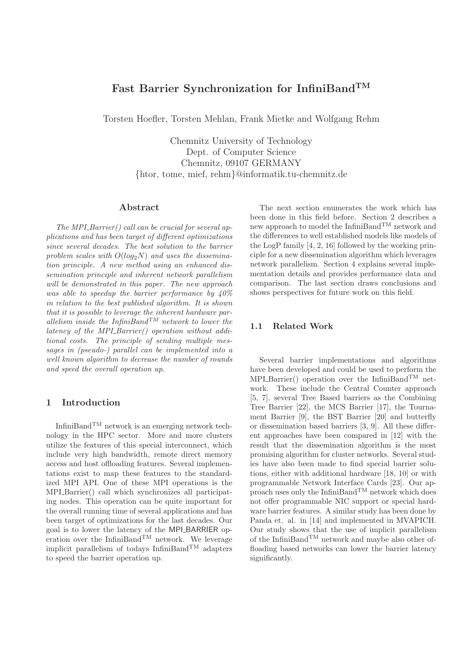# **Fast Barrier Synchronization for InfiniBandTM**

Torsten Hoefler, Torsten Mehlan, Frank Mietke and Wolfgang Rehm

Chemnitz University of Technology Dept. of Computer Science Chemnitz, 09107 GERMANY {htor, tome, mief, rehm}@informatik.tu-chemnitz.de

#### **Abstract**

*The MPI Barrier() call can be crucial for several applications and has been target of different optimizations since several decades. The best solution to the barrier* problem scales with  $O(log_2 N)$  and uses the dissemina*tion principle. A new method using an enhanced dissemination principle and inherent network parallelism will be demonstrated in this paper. The new approach was able to speedup the barrier performance by 40% in relation to the best published algorithm. It is shown that it is possible to leverage the inherent hardware parallelism inside the InfiniBandTM network to lower the latency of the MPI Barrier() operation without additional costs. The principle of sending multiple messages in (pseudo-) parallel can be implemented into a well known algorithm to decrease the number of rounds and speed the overall operation up.*

#### **1 Introduction**

InfiniBand<sup>TM</sup> network is an emerging network technology in the HPC sector. More and more clusters utilize the features of this special interconnect, which include very high bandwidth, remote direct memory access and host offloading features. Several implementations exist to map these features to the standardized MPI API. One of these MPI operations is the MPLBarrier() call which synchronizes all participating nodes. This operation can be quite important for the overall running time of several applications and has been target of optimizations for the last decades. Our goal is to lower the latency of the MPI BARRIER operation over the InfiniBand<sup>TM</sup> network. We leverage implicit parallelism of todays InfiniBandTM adapters to speed the barrier operation up.

The next section enumerates the work which has been done in this field before. Section 2 describes a new approach to model the InfiniBand<sup>TM</sup> network and the differences to well established models like models of the LogP family [4, 2, 16] followed by the working principle for a new dissemination algorithm which leverages network parallelism. Section 4 explains several implementation details and provides performance data and comparison. The last section draws conclusions and shows perspectives for future work on this field.

#### **1.1 Related Work**

Several barrier implementations and algorithms have been developed and could be used to perform the MPI Barrier() operation over the InfiniBand<sup>TM</sup> network. These include the Central Counter approach [5, 7], several Tree Based barriers as the Combining Tree Barrier [22], the MCS Barrier [17], the Tournament Barrier [9], the BST Barrier [20] and butterfly or dissemination based barriers [3, 9]. All these different approaches have been compared in [12] with the result that the dissemination algorithm is the most promising algorithm for cluster networks. Several studies have also been made to find special barrier solutions, either with additional hardware [18, 10] or with programmable Network Interface Cards [23]. Our approach uses only the InfiniBand<sup>TM</sup> network which does not offer programmable NIC support or special hardware barrier features. A similar study has been done by Panda et. al. in [14] and implemented in MVAPICH. Our study shows that the use of implicit parallelism of the InfiniBand<sup>TM</sup> network and maybe also other offloading based networks can lower the barrier latency significantly.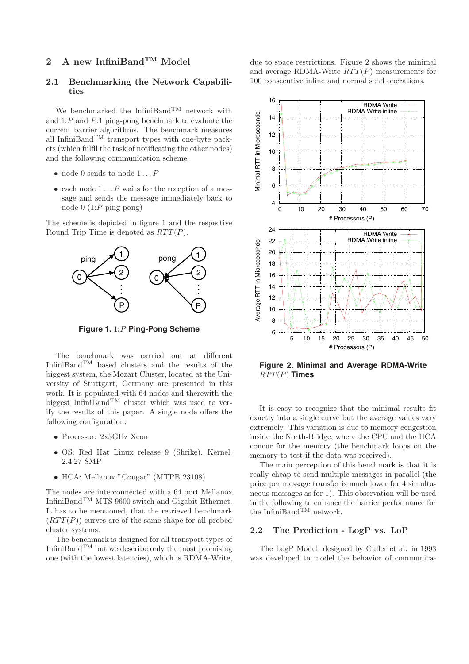## **2 A new InfiniBandTM Model**

#### **2.1 Benchmarking the Network Capabilities**

We benchmarked the InfiniBand<sup>TM</sup> network with and 1:*P* and *P*:1 ping-pong benchmark to evaluate the current barrier algorithms. The benchmark measures all InfiniBand<sup>TM</sup> transport types with one-byte packets (which fulfil the task of notificating the other nodes) and the following communication scheme:

- node 0 sends to node 1 *...P*
- $\bullet\,$  each node  $1\ldots P$  waits for the reception of a message and sends the message immediately back to node 0 (1:*P* ping-pong)

The scheme is depicted in figure 1 and the respective Round Trip Time is denoted as *RT T*(*P*).



**Figure 1.** 1**:***P* **Ping-Pong Scheme**

The benchmark was carried out at different  $\mathit{InfiniBand^{TM}}$  based clusters and the results of the biggest system, the Mozart Cluster, located at the University of Stuttgart, Germany are presented in this work. It is populated with 64 nodes and therewith the biggest InfiniBand<sup>TM</sup> cluster which was used to verify the results of this paper. A single node offers the following configuration:

- Processor: 2x3GHz Xeon
- OS: Red Hat Linux release 9 (Shrike), Kernel: 2.4.27 SMP
- HCA: Mellanox "Cougar" (MTPB 23108)

The nodes are interconnected with a 64 port Mellanox InfiniBand $\text{T}^{\text{M}}$  MTS 9600 switch and Gigabit Ethernet. It has to be mentioned, that the retrieved benchmark  $(RTT(P))$  curves are of the same shape for all probed cluster systems.

The benchmark is designed for all transport types of InfiniBand<sup>TM</sup> but we describe only the most promising one (with the lowest latencies), which is RDMA-Write,

due to space restrictions. Figure 2 shows the minimal and average RDMA-Write *RT T*(*P*) measurements for 100 consecutive inline and normal send operations.



**Figure 2. Minimal and Average RDMA-Write** *RT T*(*P*) **Times**

It is easy to recognize that the minimal results fit exactly into a single curve but the average values vary extremely. This variation is due to memory congestion inside the North-Bridge, where the CPU and the HCA concur for the memory (the benchmark loops on the memory to test if the data was received).

The main perception of this benchmark is that it is really cheap to send multiple messages in parallel (the price per message transfer is much lower for 4 simultaneous messages as for 1). This observation will be used in the following to enhance the barrier performance for the InfiniBand<sup>TM</sup> network.

## **2.2 The Prediction - LogP vs. LoP**

The LogP Model, designed by Culler et al. in 1993 was developed to model the behavior of communica-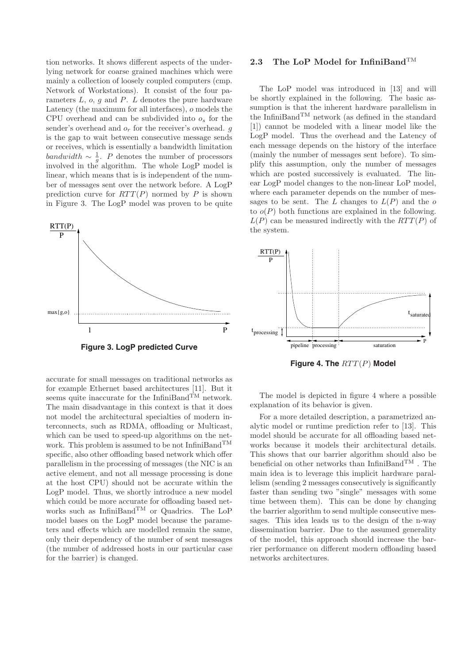tion networks. It shows different aspects of the underlying network for coarse grained machines which were mainly a collection of loosely coupled computers (cmp. Network of Workstations). It consist of the four parameters *L*, *o*, *g* and *P*. *L* denotes the pure hardware Latency (the maximum for all interfaces), *o* models the CPU overhead and can be subdivided into *<sup>o</sup>s* for the sender's overhead and *<sup>o</sup>r* for the receiver's overhead. *<sup>g</sup>* is the gap to wait between consecutive message sends or receives, which is essentially a bandwidth limitation *bandwidth*  $\sim \frac{1}{g}$ . *P* denotes the number of processors involved in the algorithm. The whole LogP model is involved in the algorithm. The whole LogP model is linear, which means that is is independent of the number of messages sent over the network before. A LogP prediction curve for  $RTT(P)$  normed by *P* is shown in Figure 3. The LogP model was proven to be quite



**Figure 3. LogP predicted Curve**

accurate for small messages on traditional networks as for example Ethernet based architectures [11]. But it seems quite inaccurate for the InfiniBand<sup>TM</sup> network. The main disadvantage in this context is that it does not model the architectural specialties of modern interconnects, such as RDMA, offloading or Multicast, which can be used to speed-up algorithms on the network. This problem is assumed to be not InfiniBand<sup>TM</sup> specific, also other offloading based network which offer parallelism in the processing of messages (the NIC is an active element, and not all message processing is done at the host CPU) should not be accurate within the LogP model. Thus, we shortly introduce a new model which could be more accurate for offloading based networks such as InfiniBandTM or Quadrics. The LoP model bases on the LogP model because the parameters and effects which are modelled remain the same, only their dependency of the number of sent messages (the number of addressed hosts in our particular case for the barrier) is changed.

#### 2.3 The LoP Model for InfiniBand<sup>TM</sup>

The LoP model was introduced in [13] and will be shortly explained in the following. The basic assumption is that the inherent hardware parallelism in the InfiniBandTM network (as defined in the standard [1]) cannot be modeled with a linear model like the LogP model. Thus the overhead and the Latency of each message depends on the history of the interface (mainly the number of messages sent before). To simplify this assumption, only the number of messages which are posted successively is evaluated. The linear LogP model changes to the non-linear LoP model, where each parameter depends on the number of messages to be sent. The  $L$  changes to  $L(P)$  and the  $o$ to  $o(P)$  both functions are explained in the following.  $L(P)$  can be measured indirectly with the  $RTT(P)$  of the system.



**Figure 4. The** *RT T*(*P*) **Model**

The model is depicted in figure 4 where a possible explanation of its behavior is given.

For a more detailed description, a parametrized analytic model or runtime prediction refer to [13]. This model should be accurate for all offloading based networks because it models their architectural details. This shows that our barrier algorithm should also be beneficial on other networks than  $\mathit{InfiniBand^{TM}}$  . The main idea is to leverage this implicit hardware parallelism (sending 2 messages consecutively is significantly faster than sending two "single" messages with some time between them). This can be done by changing the barrier algorithm to send multiple consecutive messages. This idea leads us to the design of the n-way dissemination barrier. Due to the assumed generality of the model, this approach should increase the barrier performance on different modern offloading based networks architectures.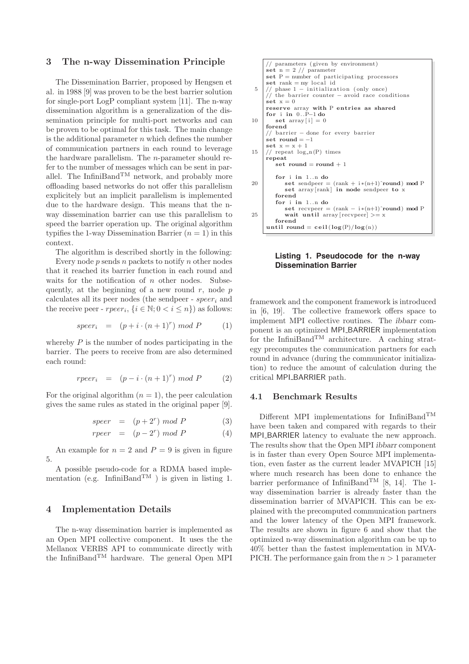## **3 The n-way Dissemination Principle**

The Dissemination Barrier, proposed by Hengsen et al. in 1988 [9] was proven to be the best barrier solution for single-port LogP compliant system [11]. The n-way dissemination algorithm is a generalization of the dissemination principle for multi-port networks and can be proven to be optimal for this task. The main change is the additional parameter *n* which defines the number of communication partners in each round to leverage the hardware parallelism. The *n*-parameter should refer to the number of messages which can be sent in parallel. The InfiniBand<sup>TM</sup> network, and probably more offloading based networks do not offer this parallelism explicitely but an implicit parallelism is implemented due to the hardware design. This means that the nway dissemination barrier can use this parallelism to speed the barrier operation up. The original algorithm typifies the 1-way Dissemination Barrier  $(n = 1)$  in this context.

The algorithm is described shortly in the following: Every node *p* sends *n* packets to notify *n* other nodes that it reached its barrier function in each round and waits for the notification of *n* other nodes. Subsequently, at the beginning of a new round *r*, node *p* calculates all its peer nodes (the sendpeer - *speeri* and the receive peer - *rpeer<sub>i</sub>*,  $\{i \in \mathbb{N}; 0 \le i \le n\}$  as follows:

$$
speer_i = (p+i \cdot (n+1)^r) \mod P \qquad (1)
$$

whereby *P* is the number of nodes participating in the barrier. The peers to receive from are also determined each round:

$$
rpeer_i = (p - i \cdot (n+1)^r) \mod P \qquad (2)
$$

For the original algorithm  $(n = 1)$ , the peer calculation gives the same rules as stated in the original paper [9].

$$
speer = (p+2r) mod P \qquad (3)
$$

$$
rpeer = (p - 2r) mod P \qquad (4)
$$

An example for  $n = 2$  and  $P = 9$  is given in figure 5.

A possible pseudo-code for a RDMA based implementation (e.g. InfiniBand<sup>TM</sup>) is given in listing 1.

## **4 Implementation Details**

The n-way dissemination barrier is implemented as an Open MPI collective component. It uses the the Mellanox VERBS API to communicate directly with the InfiniBandTM hardware. The general Open MPI

```
// parameters ( given by environment)
     set n = 2 // parameter
      set P = number of participating processors
set rank = my loca l id
 5 // phase 1 − initialization (only once)<br>
// the barrier counter – avoid race conditions
     \text{set } x=0reserve array with P entries as shared
for i in 0..P−1 do
10 set array [i] = 0
     forend
     // barrier − done for every barrier
     \text{set round} = -1set x=x+1
15 \frac{1}{\sqrt{p}} repeat \log_{p}n(P) times
     repeat
         \text{set round} = \text{round} + 1for i in 1..n do
20 set sendpeer = (\text{rank} + i*(n+1)^{\text{T}} \text{round}) \text{ mod } Pset array [rank] in node sendpeer to x
         forend
         for i in 1..n do
             set recvpeer = (\text{rank} - i*(n+1)^{\text{normal}}) mod P
25 wait until array \text{recovery} > xforend
     until round = <b>ceil</b>(log(P)/log(n))
```
**Listing 1. Pseudocode for the n-way Dissemination Barrier**

framework and the component framework is introduced in [6, 19]. The collective framework offers space to implement MPI collective routines. The *ibbarr* component is an optimized MPI BARRIER implementation for the InfiniBand<sup>TM</sup> architecture. A caching strategy precomputes the communication partners for each round in advance (during the communicator initialization) to reduce the amount of calculation during the critical MPI<sub>-BARRIER</sub> path.

#### **4.1 Benchmark Results**

Different MPI implementations for InfiniBandTM have been taken and compared with regards to their MPI\_BARRIER latency to evaluate the new approach. The results show that the Open MPI *ibbarr* component is in faster than every Open Source MPI implementation, even faster as the current leader MVAPICH [15] where much research has been done to enhance the barrier performance of InfiniBand<sup>TM</sup> [8, 14]. The 1way dissemination barrier is already faster than the dissemination barrier of MVAPICH. This can be explained with the precomputed communication partners and the lower latency of the Open MPI framework. The results are shown in figure 6 and show that the optimized n-way dissemination algorithm can be up to 40% better than the fastest implementation in MVA-PICH. The performance gain from the *n >* 1 parameter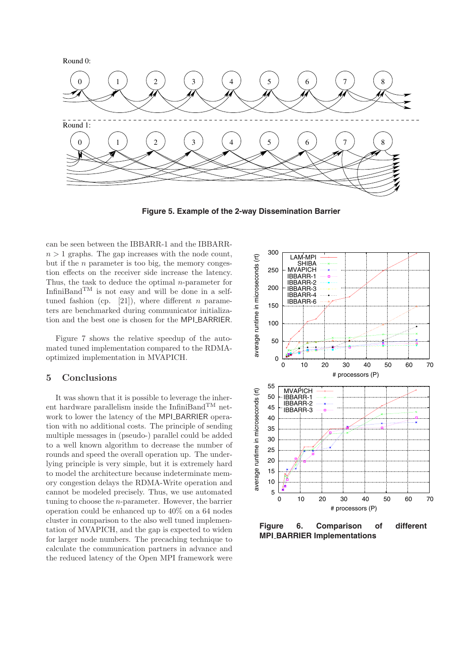

**Figure 5. Example of the 2-way Dissemination Barrier**

can be seen between the IBBARR-1 and the IBBARR $n > 1$  graphs. The gap increases with the node count, but if the *n* parameter is too big, the memory congestion effects on the receiver side increase the latency. Thus, the task to deduce the optimal *n*-parameter for InfiniBand $T^M$  is not easy and will be done in a selftuned fashion (cp.  $[21]$ ), where different *n* parameters are benchmarked during communicator initialization and the best one is chosen for the MPI BARRIER.

Figure 7 shows the relative speedup of the automated tuned implementation compared to the RDMAoptimized implementation in MVAPICH.

## **5 Conclusions**

It was shown that it is possible to leverage the inherent hardware parallelism inside the InfiniBand<sup>TM</sup> network to lower the latency of the MPI BARRIER operation with no additional costs. The principle of sending multiple messages in (pseudo-) parallel could be added to a well known algorithm to decrease the number of rounds and speed the overall operation up. The underlying principle is very simple, but it is extremely hard to model the architecture because indeterminate memory congestion delays the RDMA-Write operation and cannot be modeled precisely. Thus, we use automated tuning to choose the *n*-parameter. However, the barrier operation could be enhanced up to 40% on a 64 nodes cluster in comparison to the also well tuned implementation of MVAPICH, and the gap is expected to widen for larger node numbers. The precaching technique to calculate the communication partners in advance and the reduced latency of the Open MPI framework were



**Figure 6. Comparison of different MPI BARRIER Implementations**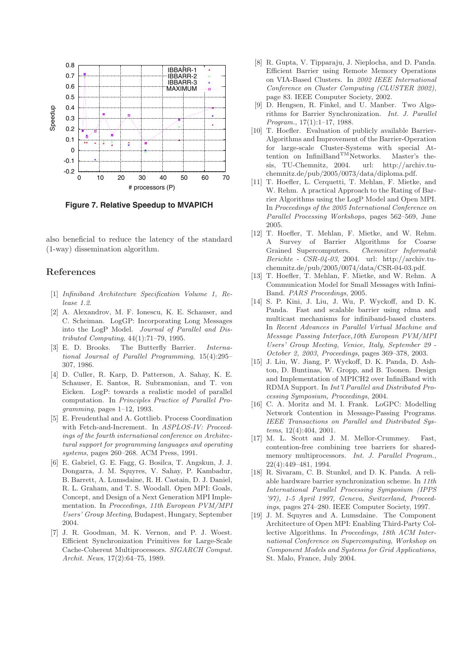

**Figure 7. Relative Speedup to MVAPICH**

also beneficial to reduce the latency of the standard (1-way) dissemination algorithm.

## **References**

- [1] *Infiniband Architecture Specification Volume 1, Release 1.2*.
- [2] A. Alexandrov, M. F. Ionescu, K. E. Schauser, and C. Scheiman. LogGP: Incorporating Long Messages into the LogP Model. *Journal of Parallel and Distributed Computing*, 44(1):71–79, 1995.
- [3] E. D. Brooks. The Butterfly Barrier. *International Journal of Parallel Programming*, 15(4):295– 307, 1986.
- [4] D. Culler, R. Karp, D. Patterson, A. Sahay, K. E. Schauser, E. Santos, R. Subramonian, and T. von Eicken. LogP: towards a realistic model of parallel computation. In *Principles Practice of Parallel Programming*, pages 1–12, 1993.
- [5] E. Freudenthal and A. Gottlieb. Process Coordination with Fetch-and-Increment. In *ASPLOS-IV: Proceedings of the fourth international conference on Architectural support for programming languages and operating systems*, pages 260–268. ACM Press, 1991.
- [6] E. Gabriel, G. E. Fagg, G. Bosilca, T. Angskun, J. J. Dongarra, J. M. Squyres, V. Sahay, P. Kambadur, B. Barrett, A. Lumsdaine, R. H. Castain, D. J. Daniel, R. L. Graham, and T. S. Woodall. Open MPI: Goals, Concept, and Design of a Next Generation MPI Implementation. In *Proceedings, 11th European PVM/MPI Users' Group Meeting*, Budapest, Hungary, September 2004.
- [7] J. R. Goodman, M. K. Vernon, and P. J. Woest. Efficient Synchronization Primitives for Large-Scale Cache-Coherent Multiprocessors. *SIGARCH Comput. Archit. News*, 17(2):64–75, 1989.
- [8] R. Gupta, V. Tipparaju, J. Nieplocha, and D. Panda. Efficient Barrier using Remote Memory Operations on VIA-Based Clusters. In *2002 IEEE International Conference on Cluster Computing (CLUSTER 2002)*, page 83. IEEE Computer Society, 2002.
- [9] D. Hengsen, R. Finkel, and U. Manber. Two Algorithms for Barrier Synchronization. *Int. J. Parallel Program.*, 17(1):1–17, 1988.
- [10] T. Hoefler. Evaluation of publicly available Barrier-Algorithms and Improvement of the Barrier-Operation for large-scale Cluster-Systems with special Attention on InfiniBand<sup>TM</sup>Networks. Master's thesis, TU-Chemnitz, 2004. url: http://archiv.tuchemnitz.de/pub/2005/0073/data/diploma.pdf.
- [11] T. Hoefler, L. Cerquetti, T. Mehlan, F. Mietke, and W. Rehm. A practical Approach to the Rating of Barrier Algorithms using the LogP Model and Open MPI. In *Proceedings of the 2005 International Conference on Parallel Processing Workshops*, pages 562–569, June 2005.
- [12] T. Hoefler, T. Mehlan, F. Mietke, and W. Rehm. A Survey of Barrier Algorithms for Coarse Grained Supercomputers. *Chemnitzer Informatik Berichte - CSR-04-03*, 2004. url: http://archiv.tuchemnitz.de/pub/2005/0074/data/CSR-04-03.pdf.
- [13] T. Hoefler, T. Mehlan, F. Mietke, and W. Rehm. A Communication Model for Small Messages with Infini-Band. *PARS Proceedings*, 2005.
- [14] S. P. Kini, J. Liu, J. Wu, P. Wyckoff, and D. K. Panda. Fast and scalable barrier using rdma and multicast mechanisms for infiniband-based clusters. In *Recent Advances in Parallel Virtual Machine and Message Passing Interface,10th European PVM/MPI Users' Group Meeting, Venice, Italy, September 29 - October 2, 2003, Proceedings*, pages 369–378, 2003.
- [15] J. Liu, W. Jiang, P. Wyckoff, D. K. Panda, D. Ashton, D. Buntinas, W. Gropp, and B. Toonen. Design and Implementation of MPICH2 over InfiniBand with RDMA Support. In *Int'l Parallel and Distributed Processing Symposium, Proceedings*, 2004.
- [16] C. A. Moritz and M. I. Frank. LoGPC: Modelling Network Contention in Message-Passing Programs. *IEEE Transactions on Parallel and Distributed Systems*, 12(4):404, 2001.
- [17] M. L. Scott and J. M. Mellor-Crummey. Fast, contention-free combining tree barriers for sharedmemory multiprocessors. *Int. J. Parallel Program.*, 22(4):449–481, 1994.
- [18] R. Sivaram, C. B. Stunkel, and D. K. Panda. A reliable hardware barrier synchronization scheme. In *11th International Parallel Processing Symposium (IPPS '97), 1-5 April 1997, Geneva, Switzerland, Proceedings*, pages 274–280. IEEE Computer Society, 1997.
- [19] J. M. Squyres and A. Lumsdaine. The Component Architecture of Open MPI: Enabling Third-Party Collective Algorithms. In *Proceedings, 18th ACM International Conference on Supercomputing, Workshop on Component Models and Systems for Grid Applications*, St. Malo, France, July 2004.